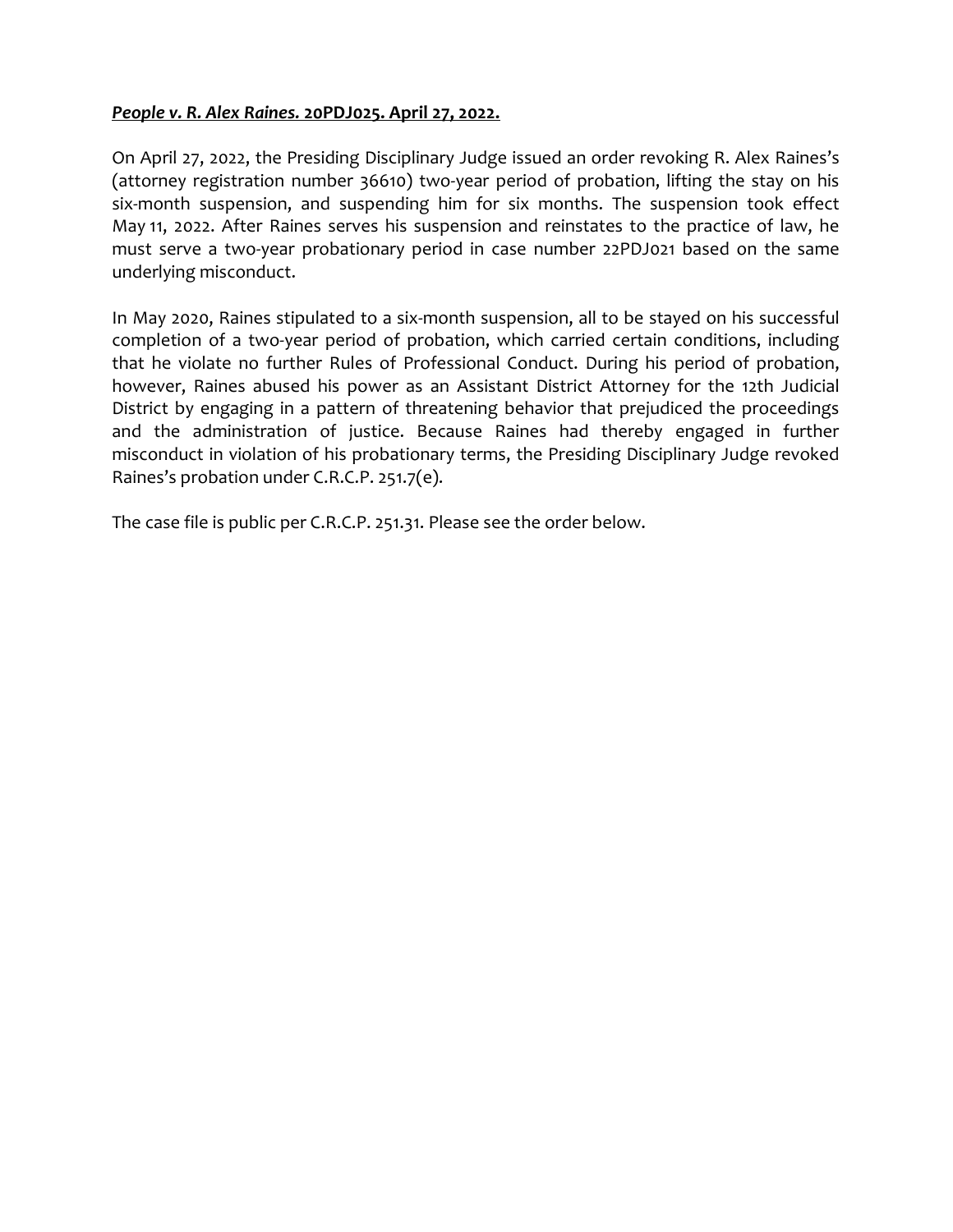## People v. R. Alex Raines. 20PDJ025. April 27, 2022.

On April 27, 2022, the Presiding Disciplinary Judge issued an order revoking R. Alex Raines's (attorney registration number 36610) two-year period of probation, lifting the stay on his six-month suspension, and suspending him for six months. The suspension took effect May 11, 2022. After Raines serves his suspension and reinstates to the practice of law, he must serve a two-year probationary period in case number 22PDJ021 based on the same underlying misconduct.

In May 2020, Raines stipulated to a six-month suspension, all to be stayed on his successful completion of a two-year period of probation, which carried certain conditions, including that he violate no further Rules of Professional Conduct. During his period of probation, however, Raines abused his power as an Assistant District Attorney for the 12th Judicial District by engaging in a pattern of threatening behavior that prejudiced the proceedings and the administration of justice. Because Raines had thereby engaged in further misconduct in violation of his probationary terms, the Presiding Disciplinary Judge revoked Raines's probation under C.R.C.P. 251.7(e).

The case file is public per C.R.C.P. 251.31. Please see the order below.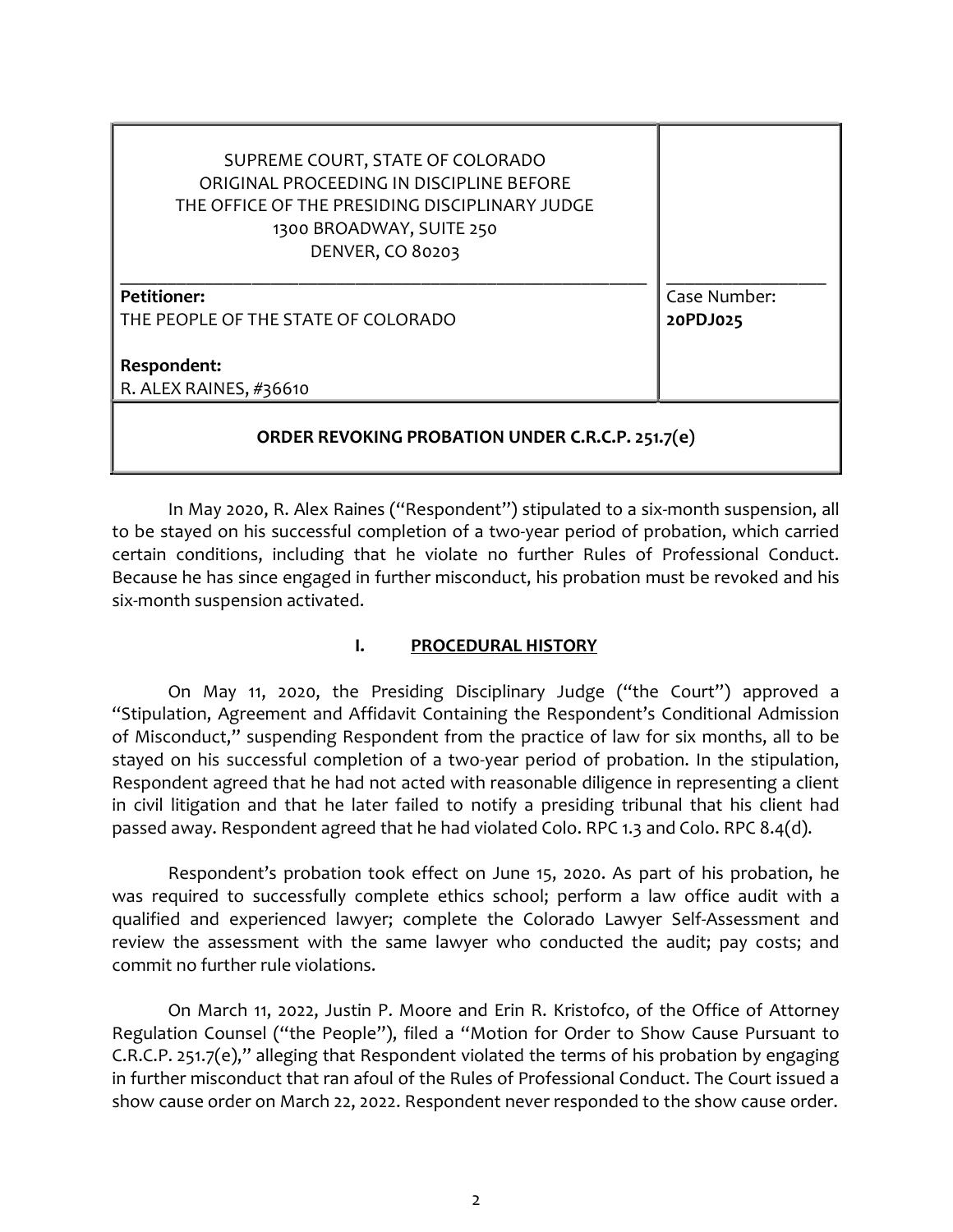| SUPREME COURT, STATE OF COLORADO<br>ORIGINAL PROCEEDING IN DISCIPLINE BEFORE<br>THE OFFICE OF THE PRESIDING DISCIPLINARY JUDGE<br>1300 BROADWAY, SUITE 250<br><b>DENVER, CO 80203</b> |              |
|---------------------------------------------------------------------------------------------------------------------------------------------------------------------------------------|--------------|
| <b>Petitioner:</b>                                                                                                                                                                    | Case Number: |
| THE PEOPLE OF THE STATE OF COLORADO                                                                                                                                                   | 20PDJ025     |
| Respondent:                                                                                                                                                                           |              |
|                                                                                                                                                                                       |              |
| R. ALEX RAINES, #36610                                                                                                                                                                |              |
| ORDER REVOKING PROBATION UNDER C.R.C.P. 251.7(e)                                                                                                                                      |              |

 In May 2020, R. Alex Raines ("Respondent") stipulated to a six-month suspension, all to be stayed on his successful completion of a two-year period of probation, which carried certain conditions, including that he violate no further Rules of Professional Conduct. Because he has since engaged in further misconduct, his probation must be revoked and his six-month suspension activated.

### I. PROCEDURAL HISTORY

On May 11, 2020, the Presiding Disciplinary Judge ("the Court") approved a "Stipulation, Agreement and Affidavit Containing the Respondent's Conditional Admission of Misconduct," suspending Respondent from the practice of law for six months, all to be stayed on his successful completion of a two-year period of probation. In the stipulation, Respondent agreed that he had not acted with reasonable diligence in representing a client in civil litigation and that he later failed to notify a presiding tribunal that his client had passed away. Respondent agreed that he had violated Colo. RPC 1.3 and Colo. RPC 8.4(d).

Respondent's probation took effect on June 15, 2020. As part of his probation, he was required to successfully complete ethics school; perform a law office audit with a qualified and experienced lawyer; complete the Colorado Lawyer Self-Assessment and review the assessment with the same lawyer who conducted the audit; pay costs; and commit no further rule violations.

On March 11, 2022, Justin P. Moore and Erin R. Kristofco, of the Office of Attorney Regulation Counsel ("the People"), filed a "Motion for Order to Show Cause Pursuant to C.R.C.P. 251.7(e)," alleging that Respondent violated the terms of his probation by engaging in further misconduct that ran afoul of the Rules of Professional Conduct. The Court issued a show cause order on March 22, 2022. Respondent never responded to the show cause order.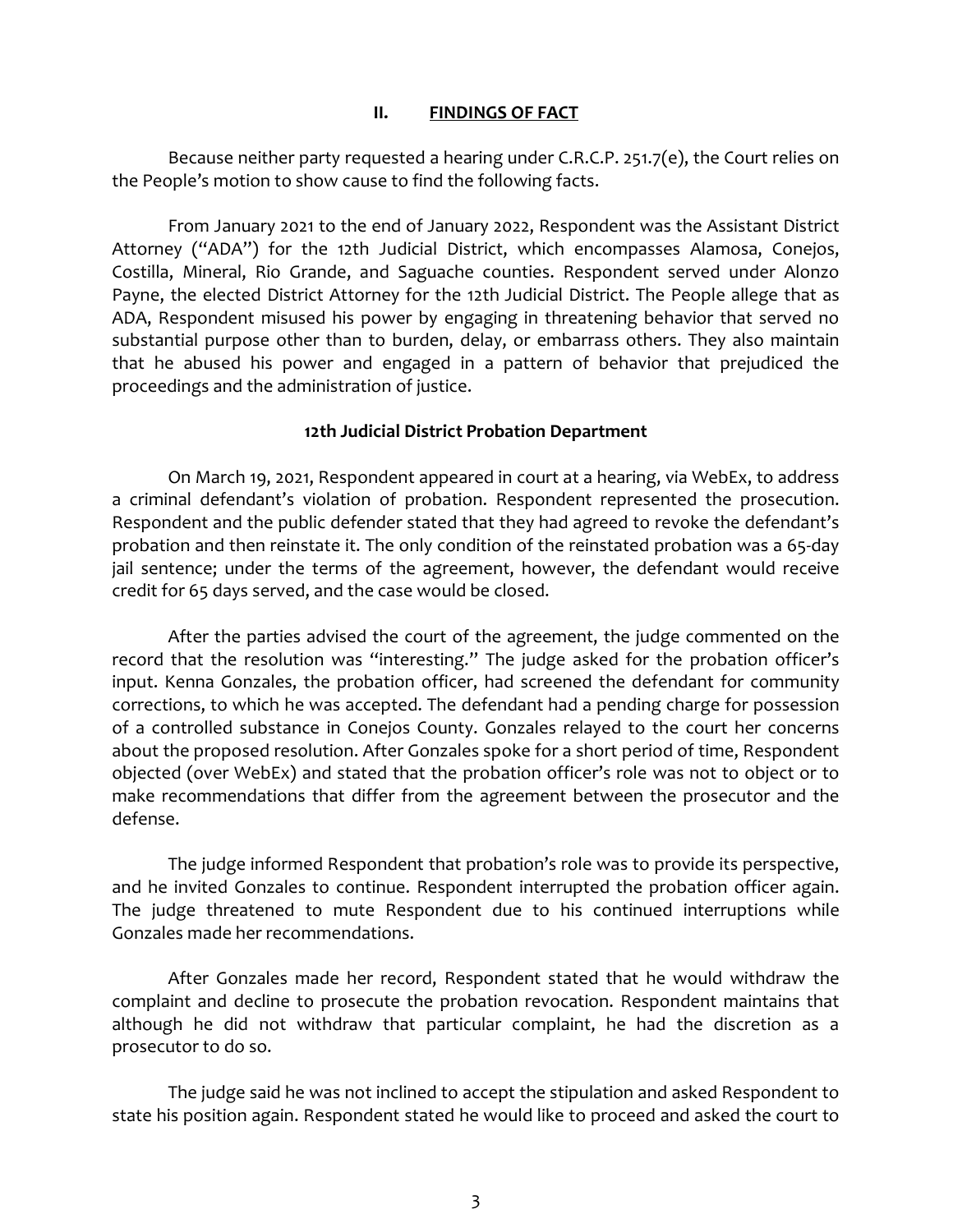#### II. FINDINGS OF FACT

Because neither party requested a hearing under C.R.C.P. 251.7(e), the Court relies on the People's motion to show cause to find the following facts.

From January 2021 to the end of January 2022, Respondent was the Assistant District Attorney ("ADA") for the 12th Judicial District, which encompasses Alamosa, Conejos, Costilla, Mineral, Rio Grande, and Saguache counties. Respondent served under Alonzo Payne, the elected District Attorney for the 12th Judicial District. The People allege that as ADA, Respondent misused his power by engaging in threatening behavior that served no substantial purpose other than to burden, delay, or embarrass others. They also maintain that he abused his power and engaged in a pattern of behavior that prejudiced the proceedings and the administration of justice.

### 12th Judicial District Probation Department

On March 19, 2021, Respondent appeared in court at a hearing, via WebEx, to address a criminal defendant's violation of probation. Respondent represented the prosecution. Respondent and the public defender stated that they had agreed to revoke the defendant's probation and then reinstate it. The only condition of the reinstated probation was a 65-day jail sentence; under the terms of the agreement, however, the defendant would receive credit for 65 days served, and the case would be closed.

After the parties advised the court of the agreement, the judge commented on the record that the resolution was "interesting." The judge asked for the probation officer's input. Kenna Gonzales, the probation officer, had screened the defendant for community corrections, to which he was accepted. The defendant had a pending charge for possession of a controlled substance in Conejos County. Gonzales relayed to the court her concerns about the proposed resolution. After Gonzales spoke for a short period of time, Respondent objected (over WebEx) and stated that the probation officer's role was not to object or to make recommendations that differ from the agreement between the prosecutor and the defense.

The judge informed Respondent that probation's role was to provide its perspective, and he invited Gonzales to continue. Respondent interrupted the probation officer again. The judge threatened to mute Respondent due to his continued interruptions while Gonzales made her recommendations.

After Gonzales made her record, Respondent stated that he would withdraw the complaint and decline to prosecute the probation revocation. Respondent maintains that although he did not withdraw that particular complaint, he had the discretion as a prosecutor to do so.

The judge said he was not inclined to accept the stipulation and asked Respondent to state his position again. Respondent stated he would like to proceed and asked the court to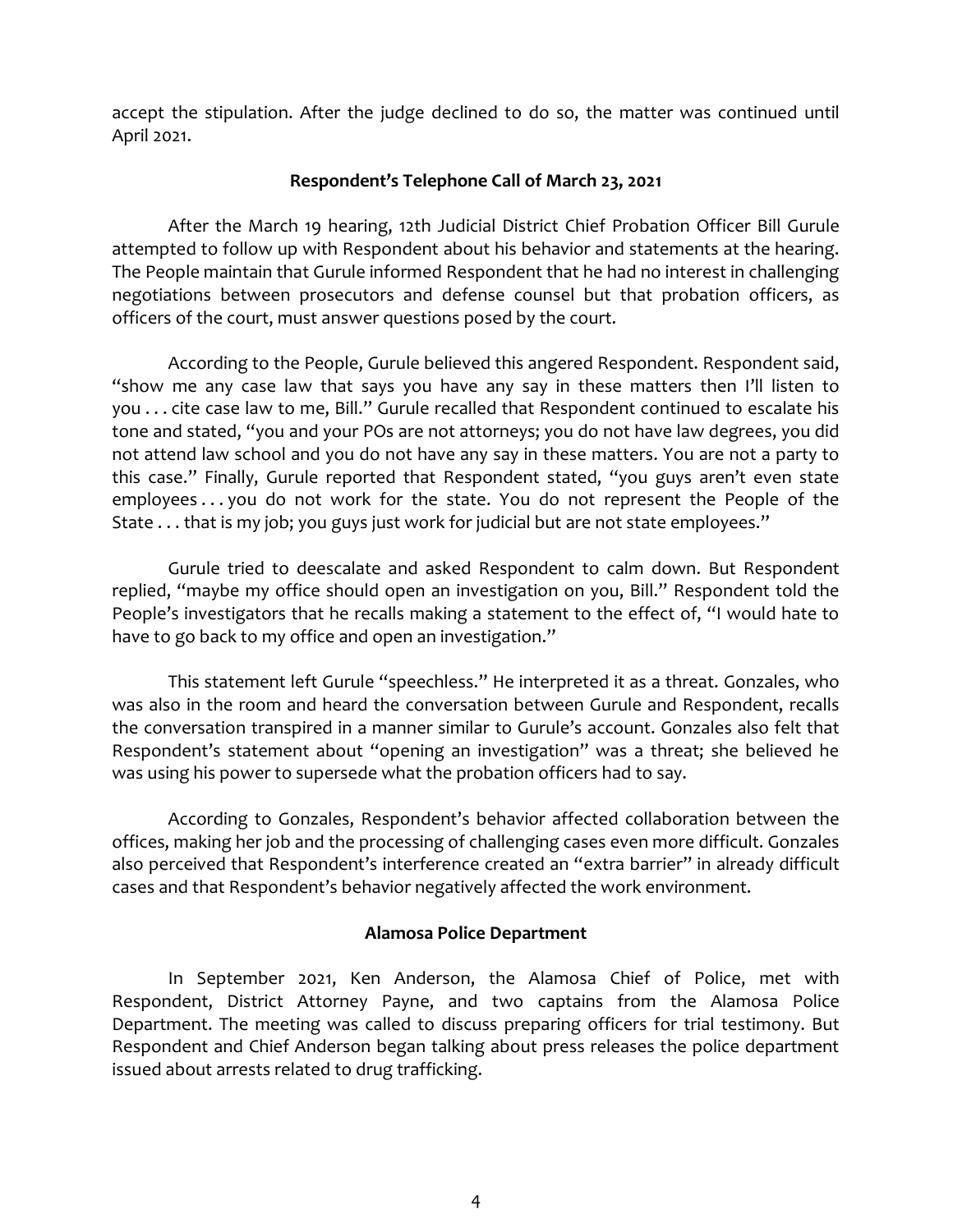accept the stipulation. After the judge declined to do so, the matter was continued until April 2021.

## Respondent's Telephone Call of March 23, 2021

After the March 19 hearing, 12th Judicial District Chief Probation Officer Bill Gurule attempted to follow up with Respondent about his behavior and statements at the hearing. The People maintain that Gurule informed Respondent that he had no interest in challenging negotiations between prosecutors and defense counsel but that probation officers, as officers of the court, must answer questions posed by the court.

According to the People, Gurule believed this angered Respondent. Respondent said, "show me any case law that says you have any say in these matters then I'll listen to you . . . cite case law to me, Bill." Gurule recalled that Respondent continued to escalate his tone and stated, "you and your POs are not attorneys; you do not have law degrees, you did not attend law school and you do not have any say in these matters. You are not a party to this case." Finally, Gurule reported that Respondent stated, "you guys aren't even state employees... you do not work for the state. You do not represent the People of the State . . . that is my job; you guys just work for judicial but are not state employees."

Gurule tried to deescalate and asked Respondent to calm down. But Respondent replied, "maybe my office should open an investigation on you, Bill." Respondent told the People's investigators that he recalls making a statement to the effect of, "I would hate to have to go back to my office and open an investigation."

This statement left Gurule "speechless." He interpreted it as a threat. Gonzales, who was also in the room and heard the conversation between Gurule and Respondent, recalls the conversation transpired in a manner similar to Gurule's account. Gonzales also felt that Respondent's statement about "opening an investigation" was a threat; she believed he was using his power to supersede what the probation officers had to say.

According to Gonzales, Respondent's behavior affected collaboration between the offices, making her job and the processing of challenging cases even more difficult. Gonzales also perceived that Respondent's interference created an "extra barrier" in already difficult cases and that Respondent's behavior negatively affected the work environment.

### Alamosa Police Department

In September 2021, Ken Anderson, the Alamosa Chief of Police, met with Respondent, District Attorney Payne, and two captains from the Alamosa Police Department. The meeting was called to discuss preparing officers for trial testimony. But Respondent and Chief Anderson began talking about press releases the police department issued about arrests related to drug trafficking.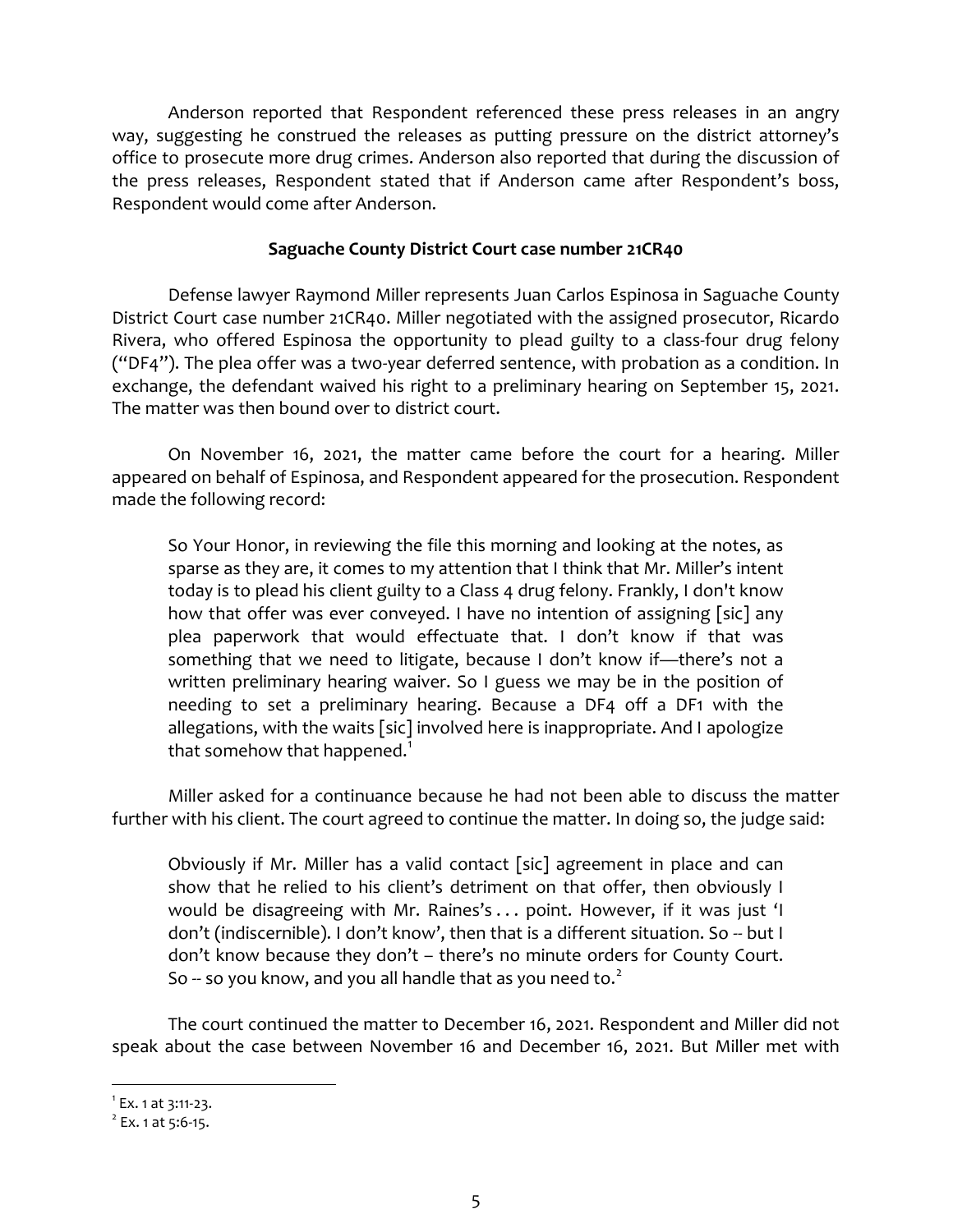Anderson reported that Respondent referenced these press releases in an angry way, suggesting he construed the releases as putting pressure on the district attorney's office to prosecute more drug crimes. Anderson also reported that during the discussion of the press releases, Respondent stated that if Anderson came after Respondent's boss, Respondent would come after Anderson.

# Saguache County District Court case number 21CR40

Defense lawyer Raymond Miller represents Juan Carlos Espinosa in Saguache County District Court case number 21CR40. Miller negotiated with the assigned prosecutor, Ricardo Rivera, who offered Espinosa the opportunity to plead guilty to a class-four drug felony ("DF4"). The plea offer was a two-year deferred sentence, with probation as a condition. In exchange, the defendant waived his right to a preliminary hearing on September 15, 2021. The matter was then bound over to district court.

On November 16, 2021, the matter came before the court for a hearing. Miller appeared on behalf of Espinosa, and Respondent appeared for the prosecution. Respondent made the following record:

So Your Honor, in reviewing the file this morning and looking at the notes, as sparse as they are, it comes to my attention that I think that Mr. Miller's intent today is to plead his client guilty to a Class 4 drug felony. Frankly, I don't know how that offer was ever conveyed. I have no intention of assigning [sic] any plea paperwork that would effectuate that. I don't know if that was something that we need to litigate, because I don't know if—there's not a written preliminary hearing waiver. So I guess we may be in the position of needing to set a preliminary hearing. Because a DF4 off a DF1 with the allegations, with the waits [sic] involved here is inappropriate. And I apologize that somehow that happened.<sup>1</sup>

Miller asked for a continuance because he had not been able to discuss the matter further with his client. The court agreed to continue the matter. In doing so, the judge said:

Obviously if Mr. Miller has a valid contact [sic] agreement in place and can show that he relied to his client's detriment on that offer, then obviously I would be disagreeing with Mr. Raines's . . . point. However, if it was just 'I don't (indiscernible). I don't know', then that is a different situation. So -- but I don't know because they don't – there's no minute orders for County Court. So  $-$  so you know, and you all handle that as you need to. $2$ 

The court continued the matter to December 16, 2021. Respondent and Miller did not speak about the case between November 16 and December 16, 2021. But Miller met with

 $1$  Ex. 1 at 3:11-23.

 $2^{2}$  Ex. 1 at 5:6-15.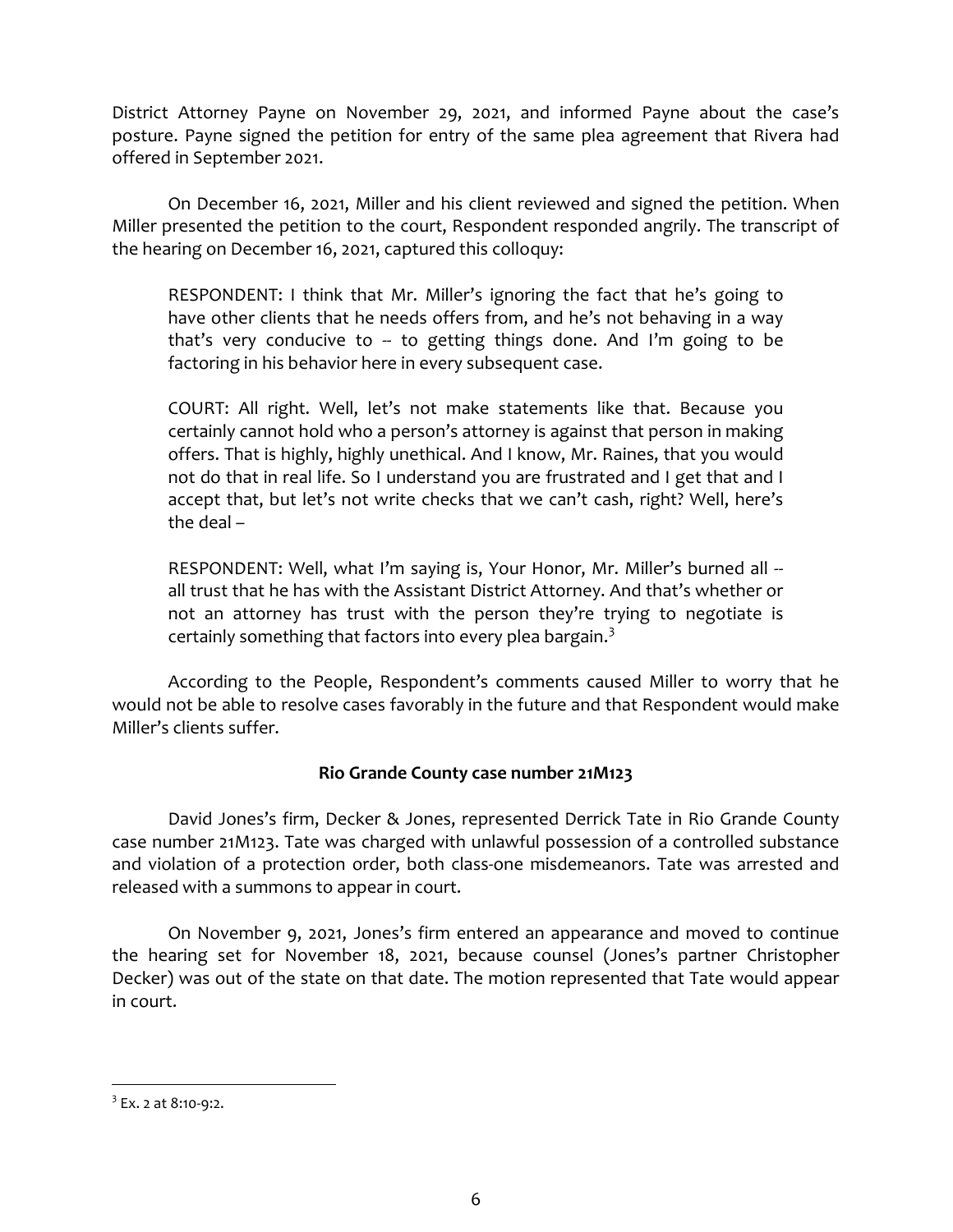District Attorney Payne on November 29, 2021, and informed Payne about the case's posture. Payne signed the petition for entry of the same plea agreement that Rivera had offered in September 2021.

On December 16, 2021, Miller and his client reviewed and signed the petition. When Miller presented the petition to the court, Respondent responded angrily. The transcript of the hearing on December 16, 2021, captured this colloquy:

RESPONDENT: I think that Mr. Miller's ignoring the fact that he's going to have other clients that he needs offers from, and he's not behaving in a way that's very conducive to  $-$  to getting things done. And I'm going to be factoring in his behavior here in every subsequent case.

COURT: All right. Well, let's not make statements like that. Because you certainly cannot hold who a person's attorney is against that person in making offers. That is highly, highly unethical. And I know, Mr. Raines, that you would not do that in real life. So I understand you are frustrated and I get that and I accept that, but let's not write checks that we can't cash, right? Well, here's the deal –

RESPONDENT: Well, what I'm saying is, Your Honor, Mr. Miller's burned all -all trust that he has with the Assistant District Attorney. And that's whether or not an attorney has trust with the person they're trying to negotiate is certainly something that factors into every plea bargain.<sup>3</sup>

According to the People, Respondent's comments caused Miller to worry that he would not be able to resolve cases favorably in the future and that Respondent would make Miller's clients suffer.

# Rio Grande County case number 21M123

David Jones's firm, Decker & Jones, represented Derrick Tate in Rio Grande County case number 21M123. Tate was charged with unlawful possession of a controlled substance and violation of a protection order, both class-one misdemeanors. Tate was arrested and released with a summons to appear in court.

On November 9, 2021, Jones's firm entered an appearance and moved to continue the hearing set for November 18, 2021, because counsel (Jones's partner Christopher Decker) was out of the state on that date. The motion represented that Tate would appear in court.

<sup>&</sup>lt;sup>3</sup> Ex. 2 at 8:10-9:2.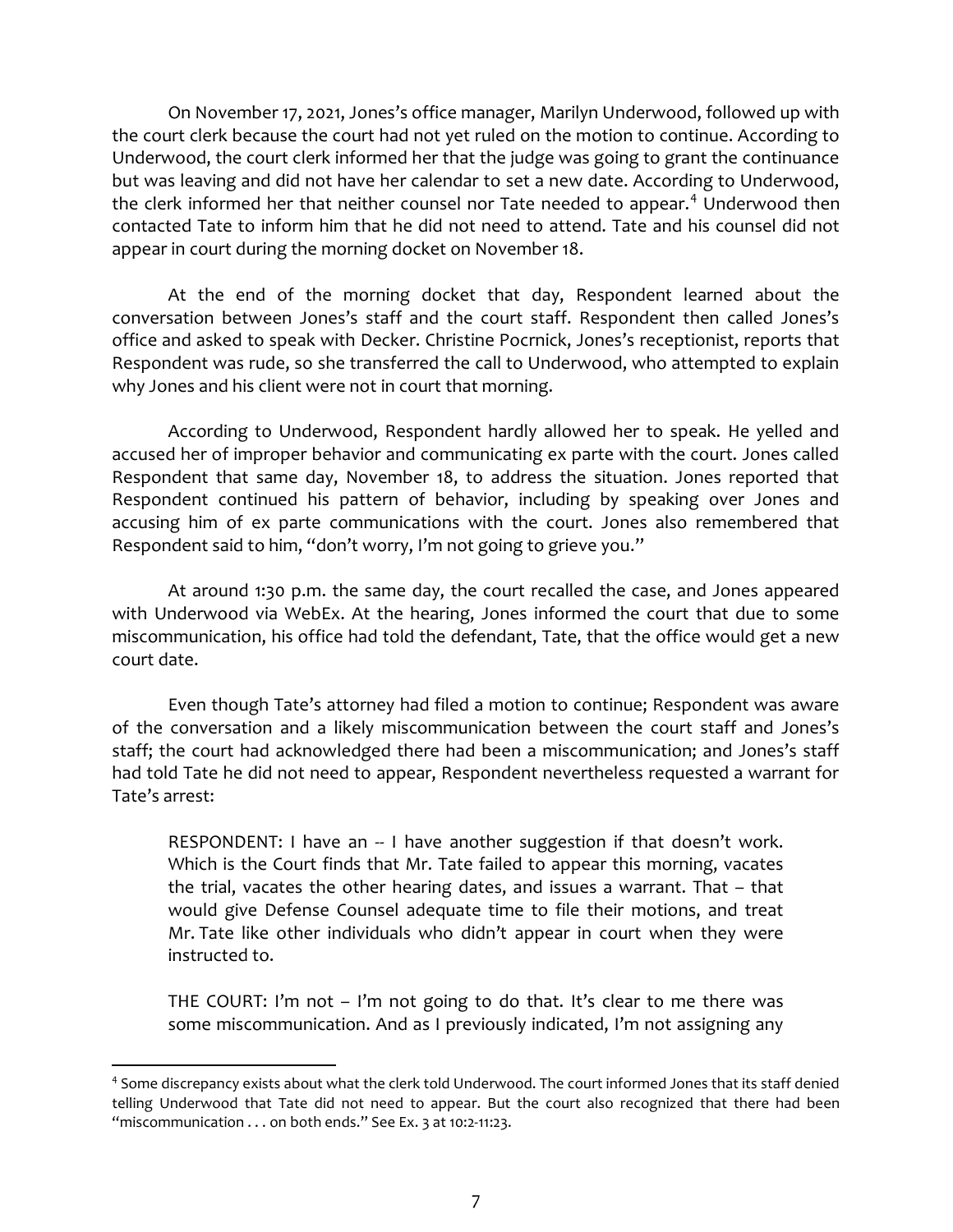On November 17, 2021, Jones's office manager, Marilyn Underwood, followed up with the court clerk because the court had not yet ruled on the motion to continue. According to Underwood, the court clerk informed her that the judge was going to grant the continuance but was leaving and did not have her calendar to set a new date. According to Underwood, the clerk informed her that neither counsel nor Tate needed to appear.<sup>4</sup> Underwood then contacted Tate to inform him that he did not need to attend. Tate and his counsel did not appear in court during the morning docket on November 18.

At the end of the morning docket that day, Respondent learned about the conversation between Jones's staff and the court staff. Respondent then called Jones's office and asked to speak with Decker. Christine Pocrnick, Jones's receptionist, reports that Respondent was rude, so she transferred the call to Underwood, who attempted to explain why Jones and his client were not in court that morning.

According to Underwood, Respondent hardly allowed her to speak. He yelled and accused her of improper behavior and communicating ex parte with the court. Jones called Respondent that same day, November 18, to address the situation. Jones reported that Respondent continued his pattern of behavior, including by speaking over Jones and accusing him of ex parte communications with the court. Jones also remembered that Respondent said to him, "don't worry, I'm not going to grieve you."

At around 1:30 p.m. the same day, the court recalled the case, and Jones appeared with Underwood via WebEx. At the hearing, Jones informed the court that due to some miscommunication, his office had told the defendant, Tate, that the office would get a new court date.

Even though Tate's attorney had filed a motion to continue; Respondent was aware of the conversation and a likely miscommunication between the court staff and Jones's staff; the court had acknowledged there had been a miscommunication; and Jones's staff had told Tate he did not need to appear, Respondent nevertheless requested a warrant for Tate's arrest:

RESPONDENT: I have an -- I have another suggestion if that doesn't work. Which is the Court finds that Mr. Tate failed to appear this morning, vacates the trial, vacates the other hearing dates, and issues a warrant. That – that would give Defense Counsel adequate time to file their motions, and treat Mr. Tate like other individuals who didn't appear in court when they were instructed to.

THE COURT: I'm not – I'm not going to do that. It's clear to me there was some miscommunication. And as I previously indicated, I'm not assigning any

<sup>&</sup>lt;sup>4</sup> Some discrepancy exists about what the clerk told Underwood. The court informed Jones that its staff denied telling Underwood that Tate did not need to appear. But the court also recognized that there had been "miscommunication . . . on both ends." See Ex. 3 at 10:2-11:23.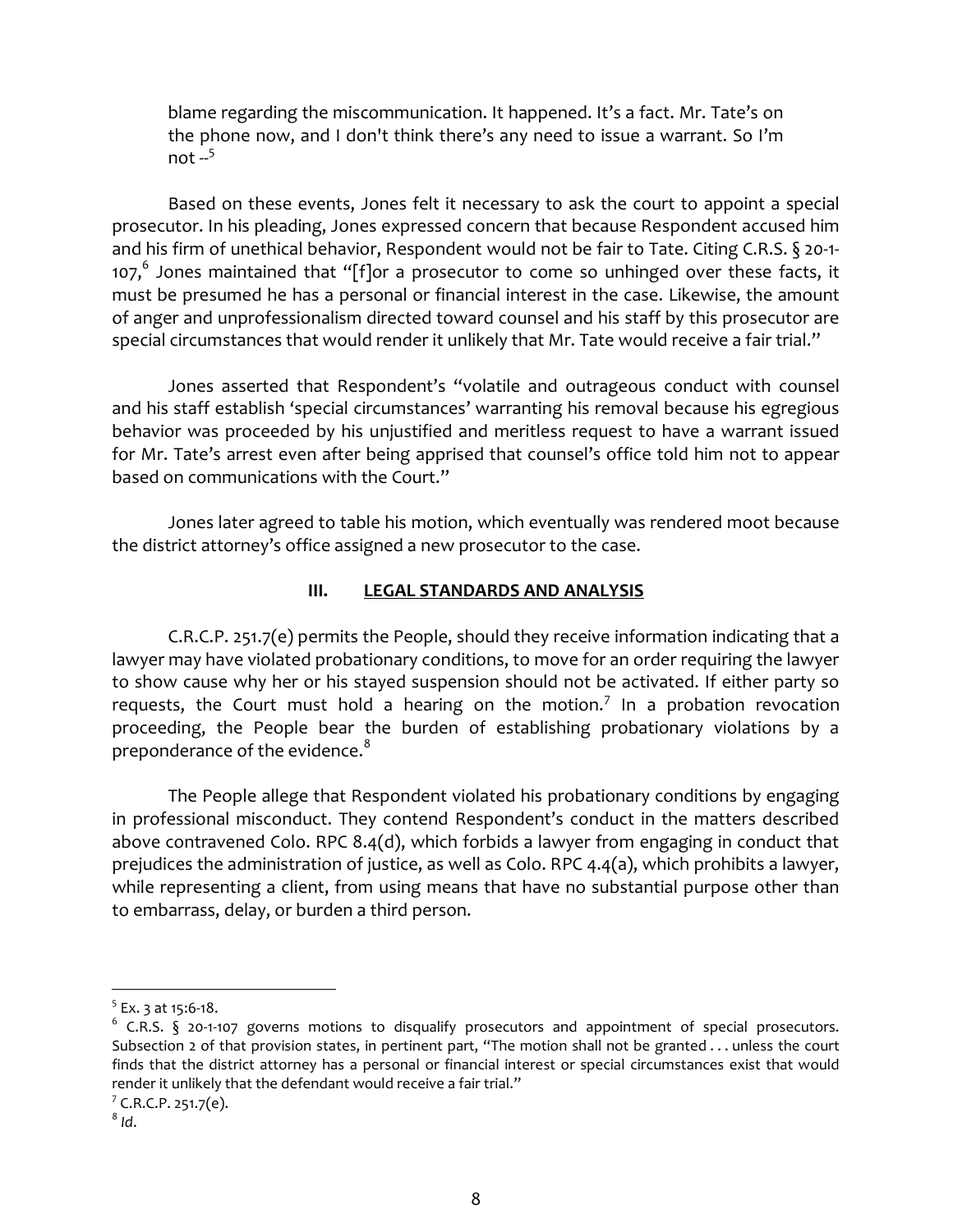blame regarding the miscommunication. It happened. It's a fact. Mr. Tate's on the phone now, and I don't think there's any need to issue a warrant. So I'm not  $-5$ 

Based on these events, Jones felt it necessary to ask the court to appoint a special prosecutor. In his pleading, Jones expressed concern that because Respondent accused him and his firm of unethical behavior, Respondent would not be fair to Tate. Citing C.R.S. § 20-1- 107, $^6$  Jones maintained that "[f]or a prosecutor to come so unhinged over these facts, it must be presumed he has a personal or financial interest in the case. Likewise, the amount of anger and unprofessionalism directed toward counsel and his staff by this prosecutor are special circumstances that would render it unlikely that Mr. Tate would receive a fair trial."

Jones asserted that Respondent's "volatile and outrageous conduct with counsel and his staff establish 'special circumstances' warranting his removal because his egregious behavior was proceeded by his unjustified and meritless request to have a warrant issued for Mr. Tate's arrest even after being apprised that counsel's office told him not to appear based on communications with the Court."

Jones later agreed to table his motion, which eventually was rendered moot because the district attorney's office assigned a new prosecutor to the case.

# III. LEGAL STANDARDS AND ANALYSIS

C.R.C.P. 251.7(e) permits the People, should they receive information indicating that a lawyer may have violated probationary conditions, to move for an order requiring the lawyer to show cause why her or his stayed suspension should not be activated. If either party so requests, the Court must hold a hearing on the motion.<sup>7</sup> In a probation revocation proceeding, the People bear the burden of establishing probationary violations by a preponderance of the evidence. $8$ 

The People allege that Respondent violated his probationary conditions by engaging in professional misconduct. They contend Respondent's conduct in the matters described above contravened Colo. RPC 8.4(d), which forbids a lawyer from engaging in conduct that prejudices the administration of justice, as well as Colo. RPC 4.4(a), which prohibits a lawyer, while representing a client, from using means that have no substantial purpose other than to embarrass, delay, or burden a third person.

 $<sup>5</sup>$  Ex. 3 at 15:6-18.</sup>

 $6$  C.R.S. § 20-1-107 governs motions to disqualify prosecutors and appointment of special prosecutors. Subsection 2 of that provision states, in pertinent part, "The motion shall not be granted . . . unless the court finds that the district attorney has a personal or financial interest or special circumstances exist that would render it unlikely that the defendant would receive a fair trial."

 $^8$  Id.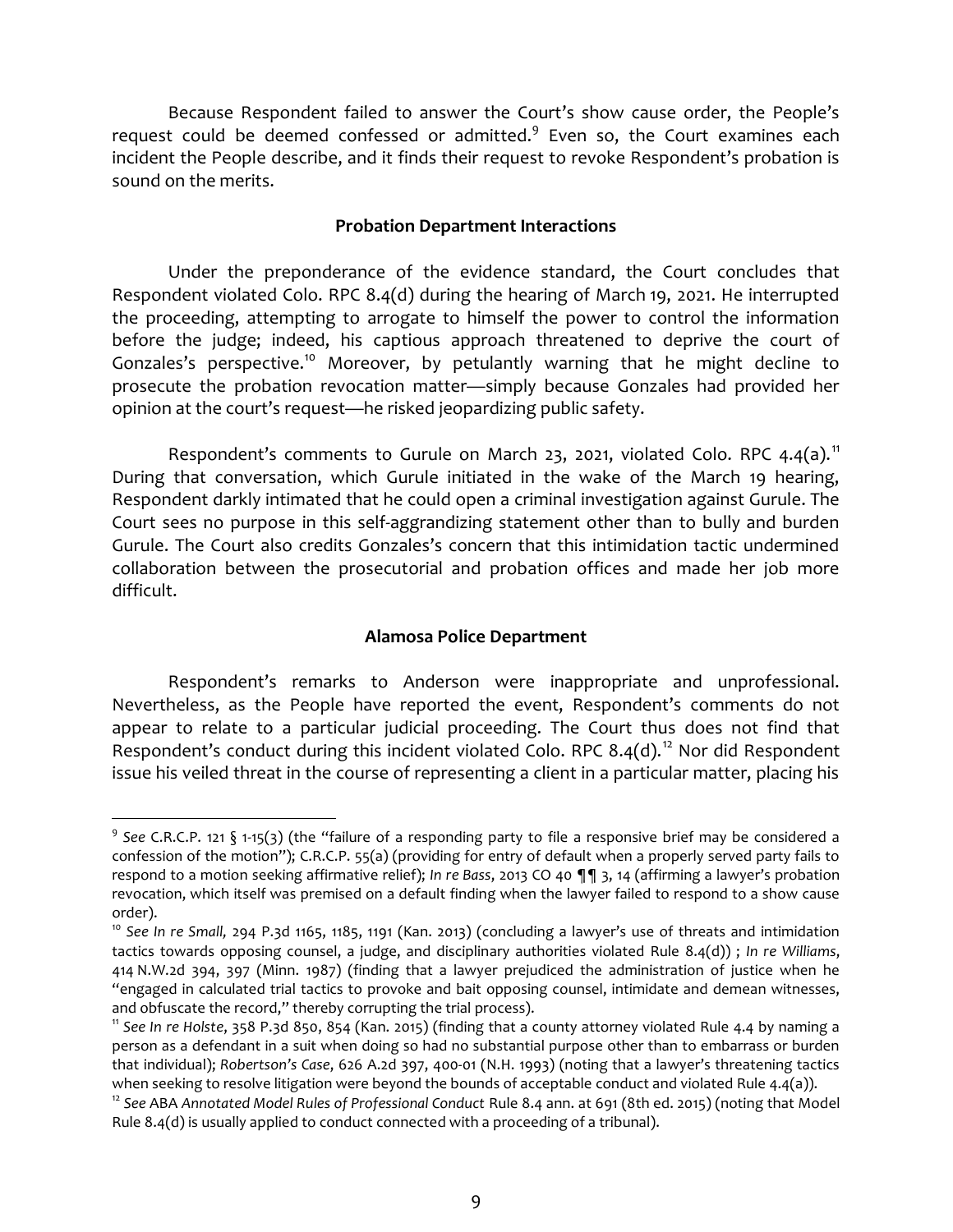Because Respondent failed to answer the Court's show cause order, the People's request could be deemed confessed or admitted.<sup>9</sup> Even so, the Court examines each incident the People describe, and it finds their request to revoke Respondent's probation is sound on the merits.

#### Probation Department Interactions

Under the preponderance of the evidence standard, the Court concludes that Respondent violated Colo. RPC 8.4(d) during the hearing of March 19, 2021. He interrupted the proceeding, attempting to arrogate to himself the power to control the information before the judge; indeed, his captious approach threatened to deprive the court of Gonzales's perspective.<sup>10</sup> Moreover, by petulantly warning that he might decline to prosecute the probation revocation matter—simply because Gonzales had provided her opinion at the court's request—he risked jeopardizing public safety.

Respondent's comments to Gurule on March 23, 2021, violated Colo. RPC 4.4(a).<sup>11</sup> During that conversation, which Gurule initiated in the wake of the March 19 hearing, Respondent darkly intimated that he could open a criminal investigation against Gurule. The Court sees no purpose in this self-aggrandizing statement other than to bully and burden Gurule. The Court also credits Gonzales's concern that this intimidation tactic undermined collaboration between the prosecutorial and probation offices and made her job more difficult.

### Alamosa Police Department

Respondent's remarks to Anderson were inappropriate and unprofessional. Nevertheless, as the People have reported the event, Respondent's comments do not appear to relate to a particular judicial proceeding. The Court thus does not find that Respondent's conduct during this incident violated Colo. RPC 8.4(d).<sup>12</sup> Nor did Respondent issue his veiled threat in the course of representing a client in a particular matter, placing his

<sup>&</sup>lt;sup>9</sup> See C.R.C.P. 121 § 1-15(3) (the "failure of a responding party to file a responsive brief may be considered a confession of the motion"); C.R.C.P. 55(a) (providing for entry of default when a properly served party fails to respond to a motion seeking affirmative relief); In re Bass, 2013 CO 40 ¶¶ 3, 14 (affirming a lawyer's probation revocation, which itself was premised on a default finding when the lawyer failed to respond to a show cause order).

<sup>&</sup>lt;sup>10</sup> See In re Small, 294 P.3d 1165, 1185, 1191 (Kan. 2013) (concluding a lawyer's use of threats and intimidation tactics towards opposing counsel, a judge, and disciplinary authorities violated Rule 8.4(d)) ; In re Williams, 414 N.W.2d 394, 397 (Minn. 1987) (finding that a lawyer prejudiced the administration of justice when he "engaged in calculated trial tactics to provoke and bait opposing counsel, intimidate and demean witnesses, and obfuscate the record," thereby corrupting the trial process).

<sup>&</sup>lt;sup>11</sup> See In re Holste, 358 P.3d 850, 854 (Kan. 2015) (finding that a county attorney violated Rule 4.4 by naming a person as a defendant in a suit when doing so had no substantial purpose other than to embarrass or burden that individual); Robertson's Case, 626 A.2d 397, 400-01 (N.H. 1993) (noting that a lawyer's threatening tactics when seeking to resolve litigation were beyond the bounds of acceptable conduct and violated Rule 4.4(a)).

 $12$  See ABA Annotated Model Rules of Professional Conduct Rule 8.4 ann. at 691 (8th ed. 2015) (noting that Model Rule 8.4(d) is usually applied to conduct connected with a proceeding of a tribunal).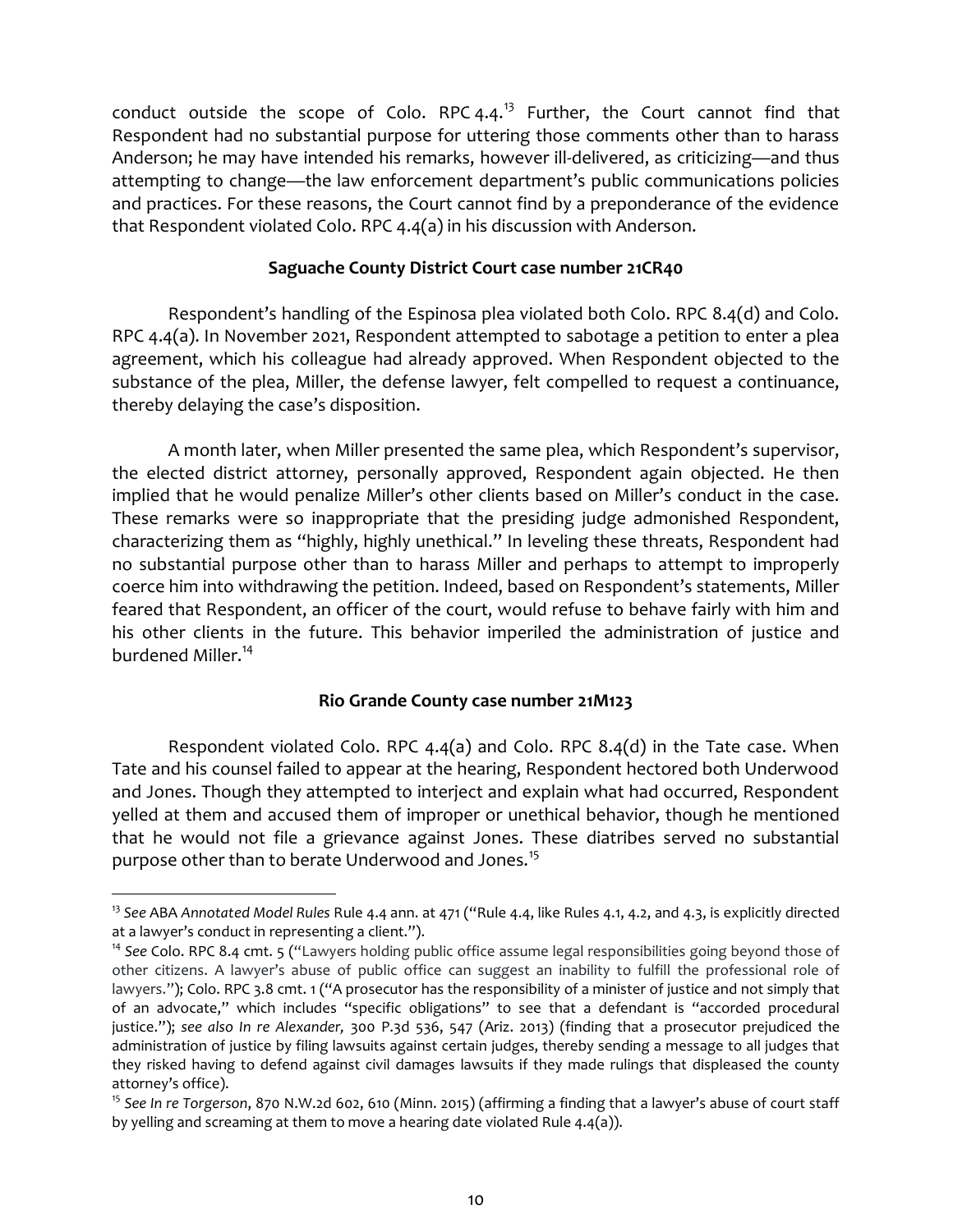conduct outside the scope of Colo. RPC  $4.4.^{13}$  Further, the Court cannot find that Respondent had no substantial purpose for uttering those comments other than to harass Anderson; he may have intended his remarks, however ill-delivered, as criticizing—and thus attempting to change—the law enforcement department's public communications policies and practices. For these reasons, the Court cannot find by a preponderance of the evidence that Respondent violated Colo. RPC 4.4(a) in his discussion with Anderson.

## Saguache County District Court case number 21CR40

Respondent's handling of the Espinosa plea violated both Colo. RPC 8.4(d) and Colo. RPC 4.4(a). In November 2021, Respondent attempted to sabotage a petition to enter a plea agreement, which his colleague had already approved. When Respondent objected to the substance of the plea, Miller, the defense lawyer, felt compelled to request a continuance, thereby delaying the case's disposition.

A month later, when Miller presented the same plea, which Respondent's supervisor, the elected district attorney, personally approved, Respondent again objected. He then implied that he would penalize Miller's other clients based on Miller's conduct in the case. These remarks were so inappropriate that the presiding judge admonished Respondent, characterizing them as "highly, highly unethical." In leveling these threats, Respondent had no substantial purpose other than to harass Miller and perhaps to attempt to improperly coerce him into withdrawing the petition. Indeed, based on Respondent's statements, Miller feared that Respondent, an officer of the court, would refuse to behave fairly with him and his other clients in the future. This behavior imperiled the administration of justice and burdened Miller.<sup>14</sup>

# Rio Grande County case number 21M123

Respondent violated Colo. RPC 4.4(a) and Colo. RPC 8.4(d) in the Tate case. When Tate and his counsel failed to appear at the hearing, Respondent hectored both Underwood and Jones. Though they attempted to interject and explain what had occurred, Respondent yelled at them and accused them of improper or unethical behavior, though he mentioned that he would not file a grievance against Jones. These diatribes served no substantial purpose other than to berate Underwood and Jones.<sup>15</sup>

<sup>&</sup>lt;sup>13</sup> See ABA Annotated Model Rules Rule 4.4 ann. at 471 ("Rule 4.4, like Rules 4.1, 4.2, and 4.3, is explicitly directed at a lawyer's conduct in representing a client.").

<sup>&</sup>lt;sup>14</sup> See Colo. RPC 8.4 cmt. 5 ("Lawyers holding public office assume legal responsibilities going beyond those of other citizens. A lawyer's abuse of public office can suggest an inability to fulfill the professional role of lawyers."); Colo. RPC 3.8 cmt. 1 ("A prosecutor has the responsibility of a minister of justice and not simply that of an advocate," which includes "specific obligations" to see that a defendant is "accorded procedural justice."); see also In re Alexander, 300 P.3d 536, 547 (Ariz. 2013) (finding that a prosecutor prejudiced the administration of justice by filing lawsuits against certain judges, thereby sending a message to all judges that they risked having to defend against civil damages lawsuits if they made rulings that displeased the county attorney's office).

<sup>&</sup>lt;sup>15</sup> See In re Torgerson, 870 N.W.2d 602, 610 (Minn. 2015) (affirming a finding that a lawyer's abuse of court staff by yelling and screaming at them to move a hearing date violated Rule 4.4(a)).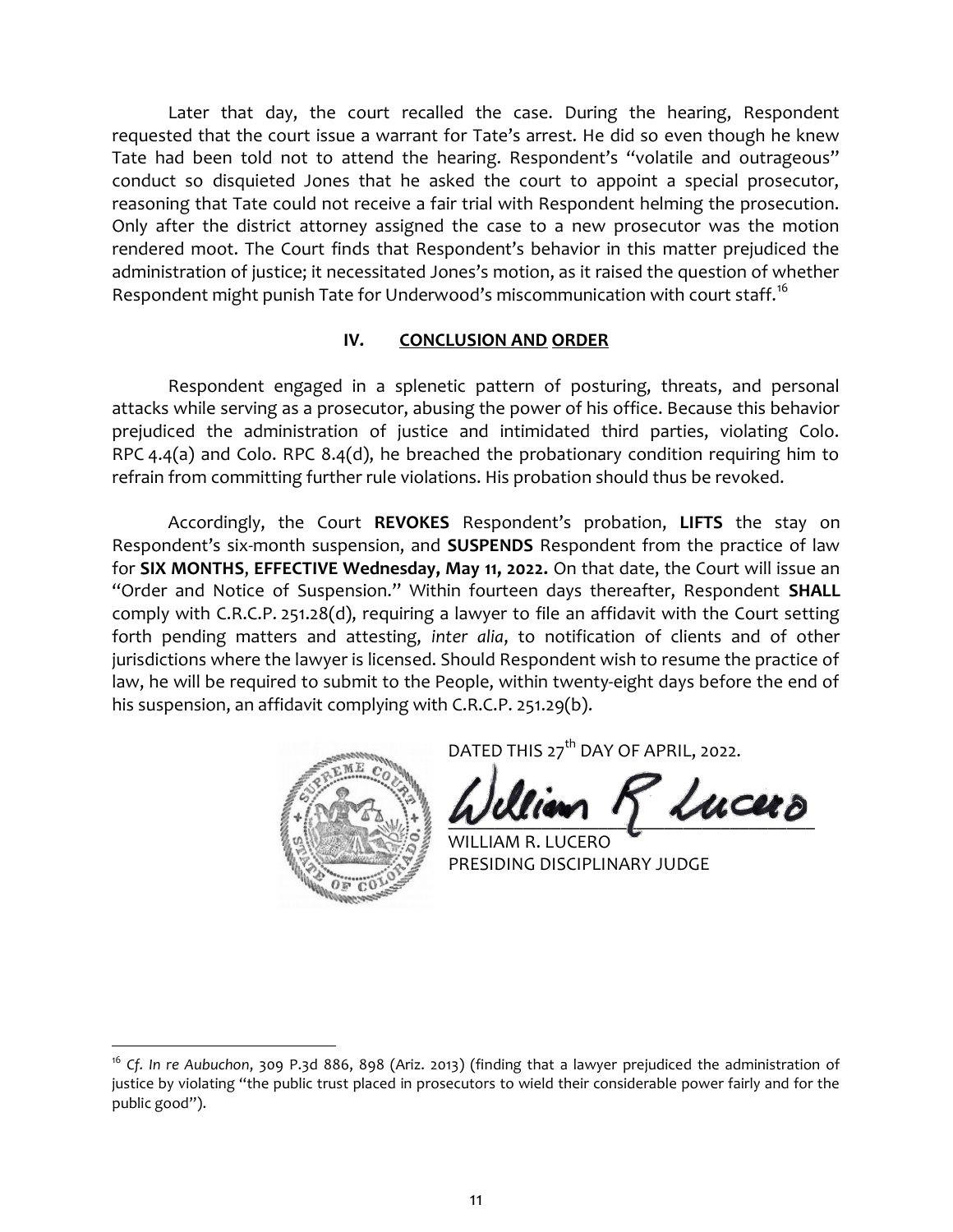Later that day, the court recalled the case. During the hearing, Respondent requested that the court issue a warrant for Tate's arrest. He did so even though he knew Tate had been told not to attend the hearing. Respondent's "volatile and outrageous" conduct so disquieted Jones that he asked the court to appoint a special prosecutor, reasoning that Tate could not receive a fair trial with Respondent helming the prosecution. Only after the district attorney assigned the case to a new prosecutor was the motion rendered moot. The Court finds that Respondent's behavior in this matter prejudiced the administration of justice; it necessitated Jones's motion, as it raised the question of whether Respondent might punish Tate for Underwood's miscommunication with court staff.<sup>16</sup>

### IV. CONCLUSION AND ORDER

Respondent engaged in a splenetic pattern of posturing, threats, and personal attacks while serving as a prosecutor, abusing the power of his office. Because this behavior prejudiced the administration of justice and intimidated third parties, violating Colo. RPC 4.4(a) and Colo. RPC 8.4(d), he breached the probationary condition requiring him to refrain from committing further rule violations. His probation should thus be revoked.

Accordingly, the Court REVOKES Respondent's probation, LIFTS the stay on Respondent's six-month suspension, and SUSPENDS Respondent from the practice of law for SIX MONTHS, EFFECTIVE Wednesday, May 11, 2022. On that date, the Court will issue an "Order and Notice of Suspension." Within fourteen days thereafter, Respondent SHALL comply with C.R.C.P. 251.28(d), requiring a lawyer to file an affidavit with the Court setting forth pending matters and attesting, inter alia, to notification of clients and of other jurisdictions where the lawyer is licensed. Should Respondent wish to resume the practice of law, he will be required to submit to the People, within twenty-eight days before the end of his suspension, an affidavit complying with C.R.C.P. 251.29(b).



 $\overline{a}$ 

DATED THIS 27<sup>th</sup> DAY OF APRIL, 2022.

 $\mathcal{L}u$ cer $\partial$ 

LIAM R. LUCERO PRESIDING DISCIPLINARY JUDGE

<sup>&</sup>lt;sup>16</sup> Cf. In re Aubuchon, 309 P.3d 886, 898 (Ariz. 2013) (finding that a lawyer prejudiced the administration of justice by violating "the public trust placed in prosecutors to wield their considerable power fairly and for the public good").